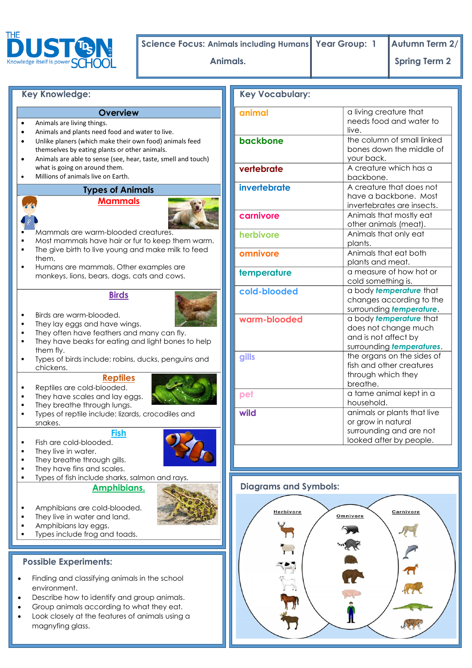

**Science Focus: Animals including Humans Year Group: 1 Autumn Term 2/**

**Animals. 1 Spring Term 2** 

### **Key Knowledge:**

#### **Overview**

- Animals are living things.
- Animals and plants need food and water to live. Unlike planers (which make their own food) animals feed
- themselves by eating plants or other animals.
- Animals are able to sense (see, hear, taste, smell and touch) what is going on around them.
- Millions of animals live on Earth.

## **Types of Animals**





Mammals are warm-blooded creatures.

- Most mammals have hair or fur to keep them warm.
- The give birth to live young and make milk to feed them.
- Humans are mammals. Other examples are monkeys, lions, bears, dogs, cats and cows.

# **Birds**



- They lay eggs and have wings.
- They often have feathers and many can fly.
- **They have beaks for eating and light bones to help** them fly.
- Types of birds include: robins, ducks, penguins and chickens.

#### **Reptiles** • Reptiles are cold-blooded.



- They have scales and lay eggs. They breathe through lungs.
- Types of reptile include: lizards, crocodiles and snakes.

### **Fish**

- $\blacksquare$  Fish are cold-blooded.
- **They live in water.**
- They breathe through gills.
- They have fins and scales.
- Types of fish include sharks, salmon and rays.

### **Amphibians.**



- Amphibians are cold-blooded.
- They live in water and land.
- Amphibians lay eggs.
- Types include frog and toads.

### **Possible Experiments:**

- Finding and classifying animals in the school environment.
- Describe how to identify and group animals.
- Group animals according to what they eat.
- Look closely at the features of animals using a magnyfing glass.

| <b>Key Vocabulary:</b> |                                                                                                         |  |
|------------------------|---------------------------------------------------------------------------------------------------------|--|
| animal                 | a living creature that<br>needs food and water to<br>live.                                              |  |
| backbone               | the column of small linked<br>bones down the middle of<br>your back.                                    |  |
| vertebrate             | A creature which has a<br>backbone.                                                                     |  |
| invertebrate           | A creature that does not<br>have a backbone. Most<br>invertebrates are insects.                         |  |
| carnivore              | Animals that mostly eat<br>other animals (meat).                                                        |  |
| herbivore              | Animals that only eat<br>plants.                                                                        |  |
| omnivore               | Animals that eat both<br>plants and meat.                                                               |  |
| temperature            | a measure of how hot or<br>cold something is.                                                           |  |
| cold-blooded           | a body temperature that<br>changes according to the<br>surrounding temperature.                         |  |
| warm-blooded           | a body temperature that<br>does not change much<br>and is not affect by<br>surrounding temperatures.    |  |
| gills                  | the organs on the sides of<br>fish and other creatures<br>through which they<br>breathe.                |  |
| pet                    | a tame animal kept in a<br>household.                                                                   |  |
| wild                   | animals or plants that live<br>or grow in natural<br>surrounding and are not<br>looked after by people. |  |

# **Diagrams and Symbols:**